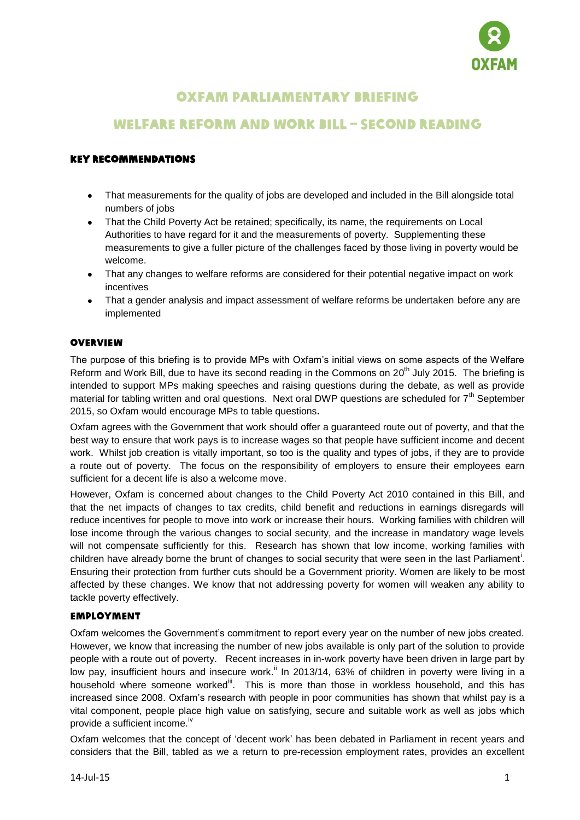

# Oxfam parliamentary briefing

## Welfare Reform and Work Bill – Second Reading

## Key recommendations

- That measurements for the quality of jobs are developed and included in the Bill alongside total  $\bullet$ numbers of jobs
- That the Child Poverty Act be retained; specifically, its name, the requirements on Local  $\bullet$ Authorities to have regard for it and the measurements of poverty. Supplementing these measurements to give a fuller picture of the challenges faced by those living in poverty would be welcome.
- That any changes to welfare reforms are considered for their potential negative impact on work incentives
- That a gender analysis and impact assessment of welfare reforms be undertaken before any are  $\bullet$ implemented

#### **OVERVIEW**

The purpose of this briefing is to provide MPs with Oxfam"s initial views on some aspects of the Welfare Reform and Work Bill, due to have its second reading in the Commons on 20<sup>th</sup> July 2015. The briefing is intended to support MPs making speeches and raising questions during the debate, as well as provide material for tabling written and oral questions. Next oral DWP questions are scheduled for 7<sup>th</sup> September 2015, so Oxfam would encourage MPs to table questions**.**

Oxfam agrees with the Government that work should offer a guaranteed route out of poverty, and that the best way to ensure that work pays is to increase wages so that people have sufficient income and decent work. Whilst job creation is vitally important, so too is the quality and types of jobs, if they are to provide a route out of poverty. The focus on the responsibility of employers to ensure their employees earn sufficient for a decent life is also a welcome move.

However, Oxfam is concerned about changes to the Child Poverty Act 2010 contained in this Bill, and that the net impacts of changes to tax credits, child benefit and reductions in earnings disregards will reduce incentives for people to move into work or increase their hours. Working families with children will lose income through the various changes to social security, and the increase in mandatory wage levels will not compensate sufficiently for this. Research has shown that low income, working families with children have already borne the brunt of changes to social security that were seen in the last Parliament<sup>i</sup>. Ensuring their protection from further cuts should be a Government priority. Women are likely to be most affected by these changes. We know that not addressing poverty for women will weaken any ability to tackle poverty effectively.

#### Employment

Oxfam welcomes the Government"s commitment to report every year on the number of new jobs created. However, we know that increasing the number of new jobs available is only part of the solution to provide people with a route out of poverty. Recent increases in in-work poverty have been driven in large part by low pay, insufficient hours and insecure work.<sup>ii</sup> In 2013/14, 63% of children in poverty were living in a household where someone worked<sup>iii</sup>. This is more than those in workless household, and this has increased since 2008. Oxfam"s research with people in poor communities has shown that whilst pay is a vital component, people place high value on satisfying, secure and suitable work as well as jobs which provide a sufficient income.<sup>iv</sup>

Oxfam welcomes that the concept of "decent work" has been debated in Parliament in recent years and considers that the Bill, tabled as we a return to pre-recession employment rates, provides an excellent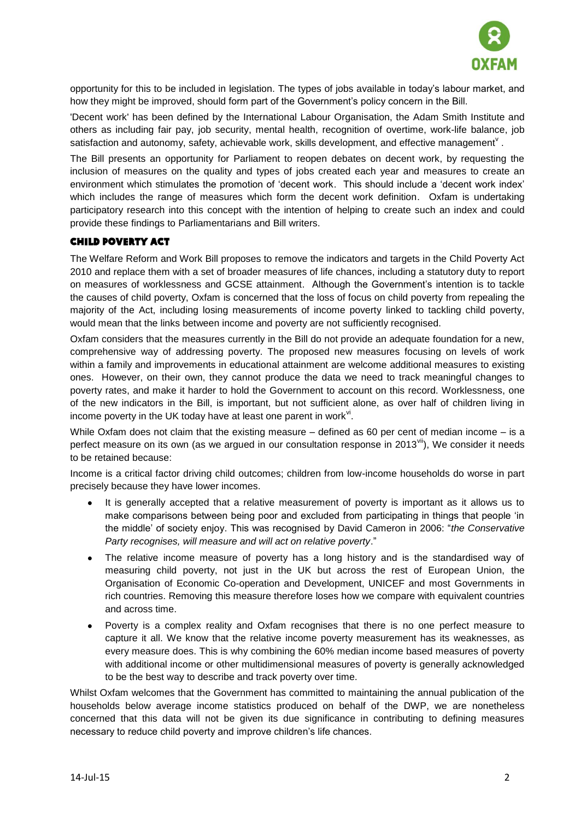

opportunity for this to be included in legislation. The types of jobs available in today"s labour market, and how they might be improved, should form part of the Government"s policy concern in the Bill.

'Decent work' has been defined by the International Labour Organisation, the Adam Smith Institute and others as including fair pay, job security, mental health, recognition of overtime, work-life balance, job satisfaction and autonomy, safety, achievable work, skills development, and effective management<sup> $V$ </sup>.

The Bill presents an opportunity for Parliament to reopen debates on decent work, by requesting the inclusion of measures on the quality and types of jobs created each year and measures to create an environment which stimulates the promotion of "decent work. This should include a "decent work index" which includes the range of measures which form the decent work definition. Oxfam is undertaking participatory research into this concept with the intention of helping to create such an index and could provide these findings to Parliamentarians and Bill writers.

#### Child Poverty Act

The Welfare Reform and Work Bill proposes to remove the indicators and targets in the Child Poverty Act 2010 and replace them with a set of broader measures of life chances, including a statutory duty to report on measures of worklessness and GCSE attainment. Although the Government"s intention is to tackle the causes of child poverty, Oxfam is concerned that the loss of focus on child poverty from repealing the majority of the Act, including losing measurements of income poverty linked to tackling child poverty, would mean that the links between income and poverty are not sufficiently recognised.

Oxfam considers that the measures currently in the Bill do not provide an adequate foundation for a new, comprehensive way of addressing poverty. The proposed new measures focusing on levels of work within a family and improvements in educational attainment are welcome additional measures to existing ones. However, on their own, they cannot produce the data we need to track meaningful changes to poverty rates, and make it harder to hold the Government to account on this record. Worklessness, one of the new indicators in the Bill, is important, but not sufficient alone, as over half of children living in income poverty in the UK today have at least one parent in work<sup>vi</sup>.

While Oxfam does not claim that the existing measure – defined as 60 per cent of median income – is a perfect measure on its own (as we argued in our consultation response in 2013<sup>vii</sup>), We consider it needs to be retained because:

Income is a critical factor driving child outcomes; children from low-income households do worse in part precisely because they have lower incomes.

- It is generally accepted that a relative measurement of poverty is important as it allows us to make comparisons between being poor and excluded from participating in things that people "in the middle" of society enjoy. This was recognised by David Cameron in 2006: "*the Conservative Party recognises, will measure and will act on relative poverty*."
- The relative income measure of poverty has a long history and is the standardised way of measuring child poverty, not just in the UK but across the rest of European Union, the Organisation of Economic Co-operation and Development, UNICEF and most Governments in rich countries. Removing this measure therefore loses how we compare with equivalent countries and across time.
- Poverty is a complex reality and Oxfam recognises that there is no one perfect measure to capture it all. We know that the relative income poverty measurement has its weaknesses, as every measure does. This is why combining the 60% median income based measures of poverty with additional income or other multidimensional measures of poverty is generally acknowledged to be the best way to describe and track poverty over time.

Whilst Oxfam welcomes that the Government has committed to maintaining the annual publication of the households below average income statistics produced on behalf of the DWP, we are nonetheless concerned that this data will not be given its due significance in contributing to defining measures necessary to reduce child poverty and improve children"s life chances.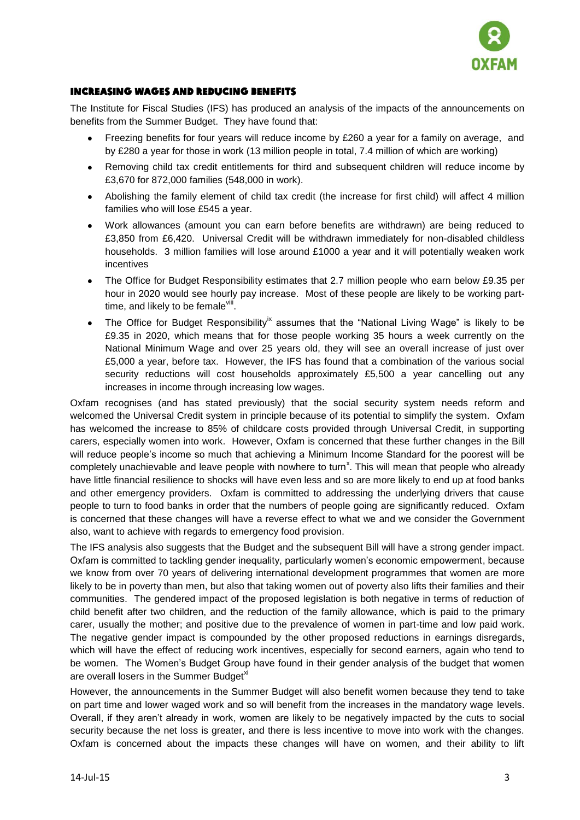

### Increasing wages and reducing benefits

The Institute for Fiscal Studies (IFS) has produced an analysis of the impacts of the announcements on benefits from the Summer Budget. They have found that:

- Freezing benefits for four years will reduce income by £260 a year for a family on average, and  $\bullet$ by £280 a year for those in work (13 million people in total, 7.4 million of which are working)
- Removing child tax credit entitlements for third and subsequent children will reduce income by £3,670 for 872,000 families (548,000 in work).
- Abolishing the family element of child tax credit (the increase for first child) will affect 4 million families who will lose £545 a year.
- Work allowances (amount you can earn before benefits are withdrawn) are being reduced to  $\bullet$ £3,850 from £6,420. Universal Credit will be withdrawn immediately for non-disabled childless households. 3 million families will lose around £1000 a year and it will potentially weaken work incentives
- $\bullet$ The Office for Budget Responsibility estimates that 2.7 million people who earn below £9.35 per hour in 2020 would see hourly pay increase. Most of these people are likely to be working parttime, and likely to be female<sup>viii</sup>.
- The Office for Budget Responsibility<sup>ix</sup> assumes that the "National Living Wage" is likely to be  $\bullet$ £9.35 in 2020, which means that for those people working 35 hours a week currently on the National Minimum Wage and over 25 years old, they will see an overall increase of just over £5,000 a year, before tax. However, the IFS has found that a combination of the various social security reductions will cost households approximately £5,500 a year cancelling out any increases in income through increasing low wages.

Oxfam recognises (and has stated previously) that the social security system needs reform and welcomed the Universal Credit system in principle because of its potential to simplify the system. Oxfam has welcomed the increase to 85% of childcare costs provided through Universal Credit, in supporting carers, especially women into work. However, Oxfam is concerned that these further changes in the Bill will reduce people's income so much that achieving a Minimum Income Standard for the poorest will be completely unachievable and leave people with nowhere to turn<sup>x</sup>. This will mean that people who already have little financial resilience to shocks will have even less and so are more likely to end up at food banks and other emergency providers. Oxfam is committed to addressing the underlying drivers that cause people to turn to food banks in order that the numbers of people going are significantly reduced. Oxfam is concerned that these changes will have a reverse effect to what we and we consider the Government also, want to achieve with regards to emergency food provision.

The IFS analysis also suggests that the Budget and the subsequent Bill will have a strong gender impact. Oxfam is committed to tackling gender inequality, particularly women"s economic empowerment, because we know from over 70 years of delivering international development programmes that women are more likely to be in poverty than men, but also that taking women out of poverty also lifts their families and their communities. The gendered impact of the proposed legislation is both negative in terms of reduction of child benefit after two children, and the reduction of the family allowance, which is paid to the primary carer, usually the mother; and positive due to the prevalence of women in part-time and low paid work. The negative gender impact is compounded by the other proposed reductions in earnings disregards, which will have the effect of reducing work incentives, especially for second earners, again who tend to be women. The Women"s Budget Group have found in their gender analysis of the budget that women are overall losers in the Summer Budget<sup>xi</sup>

However, the announcements in the Summer Budget will also benefit women because they tend to take on part time and lower waged work and so will benefit from the increases in the mandatory wage levels. Overall, if they aren"t already in work, women are likely to be negatively impacted by the cuts to social security because the net loss is greater, and there is less incentive to move into work with the changes. Oxfam is concerned about the impacts these changes will have on women, and their ability to lift